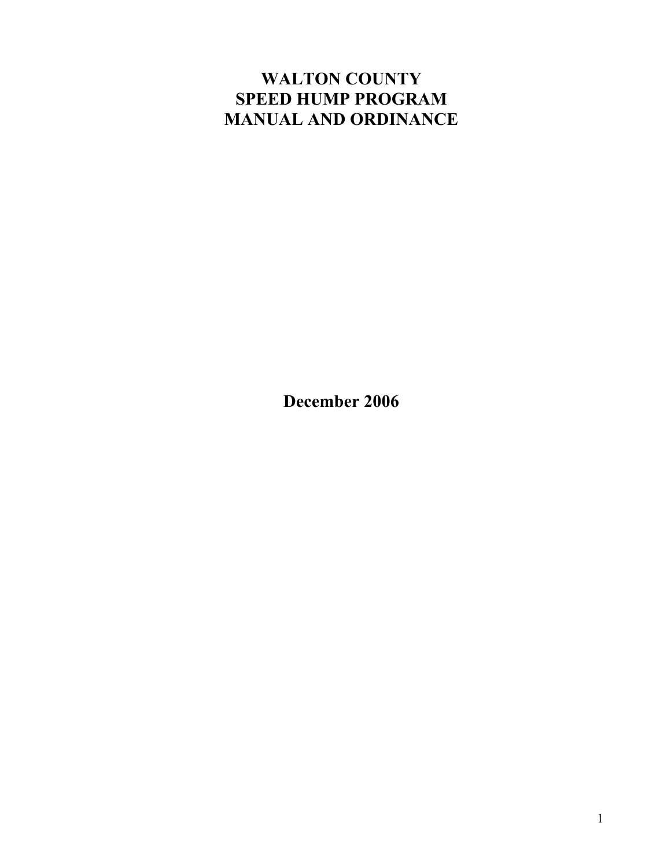# **WALTON COUNTY SPEED HUMP PROGRAM MANUAL AND ORDINANCE**

**December 2006**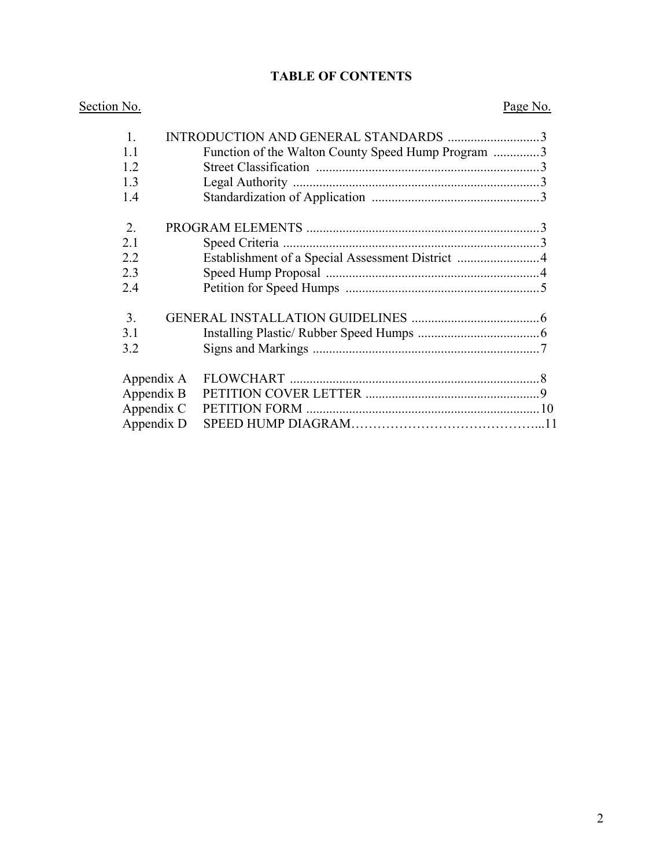### **TABLE OF CONTENTS**

| Section No.    |  |                                                    | Page No. |
|----------------|--|----------------------------------------------------|----------|
| $\mathbf{1}$   |  | INTRODUCTION AND GENERAL STANDARDS 3               |          |
| 1.1            |  | Function of the Walton County Speed Hump Program 3 |          |
| 1.2            |  |                                                    |          |
| 1.3            |  |                                                    |          |
| 1.4            |  |                                                    |          |
| 2.             |  |                                                    |          |
| 2.1            |  |                                                    |          |
| 2.2            |  | Establishment of a Special Assessment District 4   |          |
| 2.3            |  |                                                    |          |
| 2.4            |  |                                                    |          |
| 3 <sub>1</sub> |  |                                                    |          |
| 3.1            |  |                                                    |          |
| 3.2            |  |                                                    |          |
| Appendix A     |  |                                                    |          |
| Appendix B     |  |                                                    |          |
| Appendix C     |  |                                                    |          |
| Appendix D     |  |                                                    |          |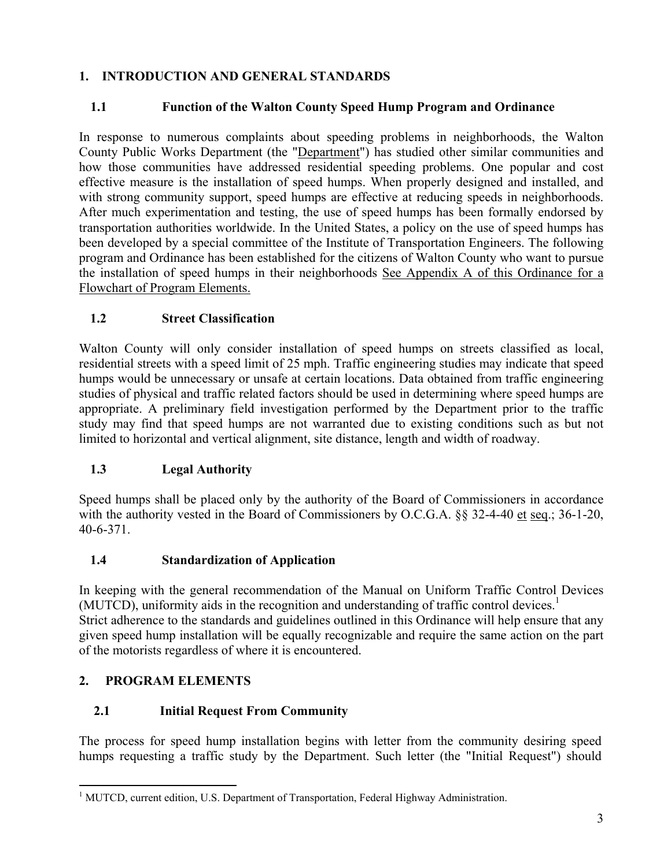### **1. INTRODUCTION AND GENERAL STANDARDS**

### **1.1 Function of the Walton County Speed Hump Program and Ordinance**

In response to numerous complaints about speeding problems in neighborhoods, the Walton County Public Works Department (the "Department") has studied other similar communities and how those communities have addressed residential speeding problems. One popular and cost effective measure is the installation of speed humps. When properly designed and installed, and with strong community support, speed humps are effective at reducing speeds in neighborhoods. After much experimentation and testing, the use of speed humps has been formally endorsed by transportation authorities worldwide. In the United States, a policy on the use of speed humps has been developed by a special committee of the Institute of Transportation Engineers. The following program and Ordinance has been established for the citizens of Walton County who want to pursue the installation of speed humps in their neighborhoods See Appendix A of this Ordinance for a Flowchart of Program Elements.

### **1.2 Street Classification**

Walton County will only consider installation of speed humps on streets classified as local, residential streets with a speed limit of 25 mph. Traffic engineering studies may indicate that speed humps would be unnecessary or unsafe at certain locations. Data obtained from traffic engineering studies of physical and traffic related factors should be used in determining where speed humps are appropriate. A preliminary field investigation performed by the Department prior to the traffic study may find that speed humps are not warranted due to existing conditions such as but not limited to horizontal and vertical alignment, site distance, length and width of roadway.

## **1.3 Legal Authority**

Speed humps shall be placed only by the authority of the Board of Commissioners in accordance with the authority vested in the Board of Commissioners by O.C.G.A. §§ 32-4-40 et seq.; 36-1-20, 40-6-371.

## **1.4 Standardization of Application**

In keeping with the general recommendation of the Manual on Uniform Traffic Control Devices (MUTCD), uniformity aids in the recognition and understanding of traffic control devices.<sup>[1](#page-2-0)</sup> Strict adherence to the standards and guidelines outlined in this Ordinance will help ensure that any given speed hump installation will be equally recognizable and require the same action on the part of the motorists regardless of where it is encountered.

## **2. PROGRAM ELEMENTS**

### **2.1 Initial Request From Community**

The process for speed hump installation begins with letter from the community desiring speed humps requesting a traffic study by the Department. Such letter (the "Initial Request") should

<span id="page-2-0"></span> $\overline{a}$ <sup>1</sup> MUTCD, current edition, U.S. Department of Transportation, Federal Highway Administration.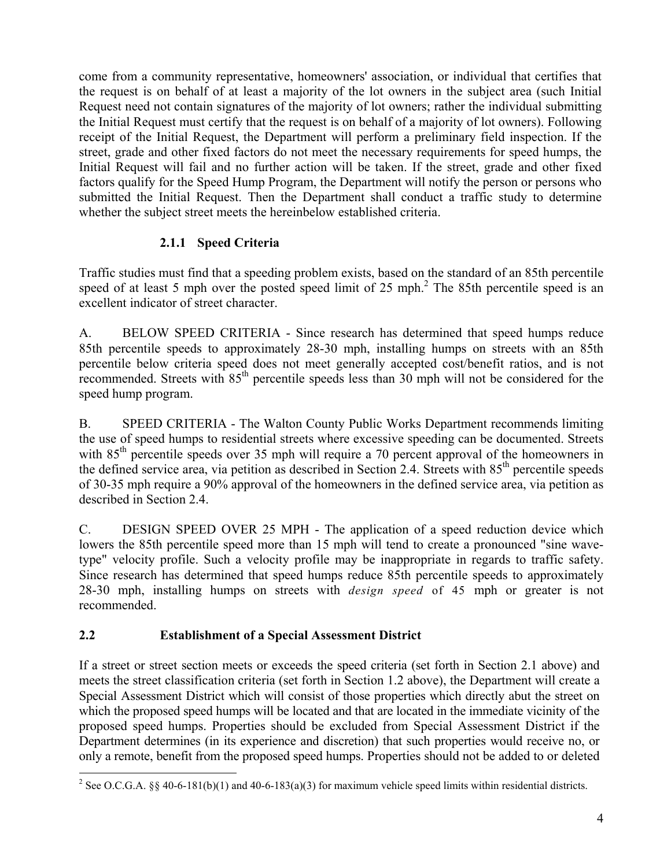come from a community representative, homeowners' association, or individual that certifies that the request is on behalf of at least a majority of the lot owners in the subject area (such Initial Request need not contain signatures of the majority of lot owners; rather the individual submitting the Initial Request must certify that the request is on behalf of a majority of lot owners). Following receipt of the Initial Request, the Department will perform a preliminary field inspection. If the street, grade and other fixed factors do not meet the necessary requirements for speed humps, the Initial Request will fail and no further action will be taken. If the street, grade and other fixed factors qualify for the Speed Hump Program, the Department will notify the person or persons who submitted the Initial Request. Then the Department shall conduct a traffic study to determine whether the subject street meets the hereinbelow established criteria.

### **2.1.1 Speed Criteria**

Traffic studies must find that a speeding problem exists, based on the standard of an 85th percentile speedof at least 5 mph over the posted speed limit of 25 mph. $^2$  The 85th percentile speed is an excellent indicator of street character.

A. BELOW SPEED CRITERIA - Since research has determined that speed humps reduce 85th percentile speeds to approximately 28-30 mph, installing humps on streets with an 85th percentile below criteria speed does not meet generally accepted cost/benefit ratios, and is not recommended. Streets with  $85<sup>th</sup>$  percentile speeds less than 30 mph will not be considered for the speed hump program.

B. SPEED CRITERIA - The Walton County Public Works Department recommends limiting the use of speed humps to residential streets where excessive speeding can be documented. Streets with 85<sup>th</sup> percentile speeds over 35 mph will require a 70 percent approval of the homeowners in the defined service area, via petition as described in Section 2.4. Streets with 85<sup>th</sup> percentile speeds of 30-35 mph require a 90% approval of the homeowners in the defined service area, via petition as described in Section 2.4.

C. DESIGN SPEED OVER 25 MPH - The application of a speed reduction device which lowers the 85th percentile speed more than 15 mph will tend to create a pronounced "sine wavetype" velocity profile. Such a velocity profile may be inappropriate in regards to traffic safety. Since research has determined that speed humps reduce 85th percentile speeds to approximately 28-30 mph, installing humps on streets with *design speed* of 45 mph or greater is not recommended.

## **2.2 Establishment of a Special Assessment District**

If a street or street section meets or exceeds the speed criteria (set forth in Section 2.1 above) and meets the street classification criteria (set forth in Section 1.2 above), the Department will create a Special Assessment District which will consist of those properties which directly abut the street on which the proposed speed humps will be located and that are located in the immediate vicinity of the proposed speed humps. Properties should be excluded from Special Assessment District if the Department determines (in its experience and discretion) that such properties would receive no, or only a remote, benefit from the proposed speed humps. Properties should not be added to or deleted

<span id="page-3-0"></span> $\overline{a}$ <sup>2</sup> See O.C.G.A. §§ 40-6-181(b)(1) and 40-6-183(a)(3) for maximum vehicle speed limits within residential districts.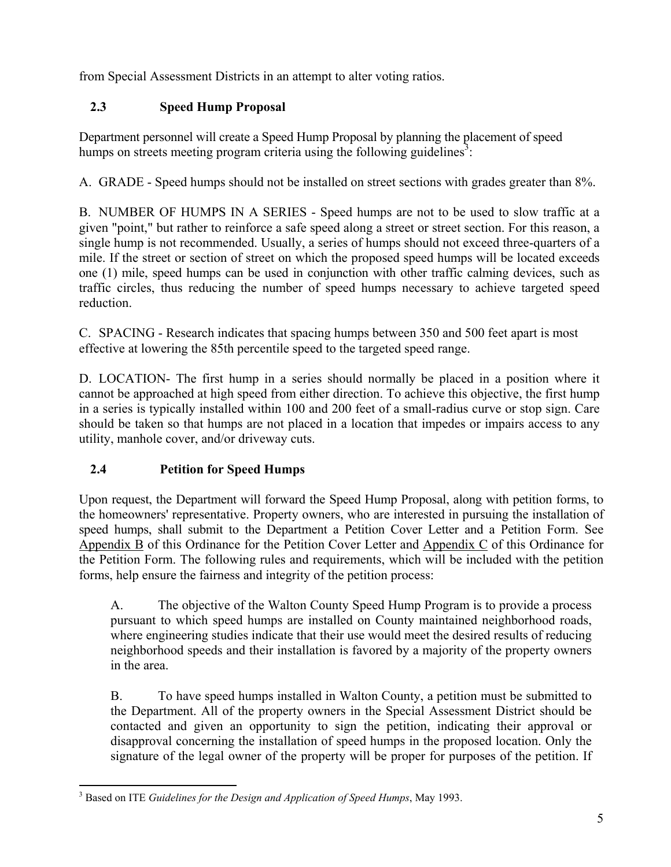from Special Assessment Districts in an attempt to alter voting ratios.

## **2.3 Speed Hump Proposal**

Department personnel will create a Speed Hump Proposal by planning the placement of speed humps on streets meeting program criteria using the following guidelines<sup>3</sup>[:](#page-4-0)

A. GRADE - Speed humps should not be installed on street sections with grades greater than 8%.

B. NUMBER OF HUMPS IN A SERIES - Speed humps are not to be used to slow traffic at a given "point," but rather to reinforce a safe speed along a street or street section. For this reason, a single hump is not recommended. Usually, a series of humps should not exceed three-quarters of a mile. If the street or section of street on which the proposed speed humps will be located exceeds one (1) mile, speed humps can be used in conjunction with other traffic calming devices, such as traffic circles, thus reducing the number of speed humps necessary to achieve targeted speed reduction.

C. SPACING - Research indicates that spacing humps between 350 and 500 feet apart is most effective at lowering the 85th percentile speed to the targeted speed range.

D. LOCATION- The first hump in a series should normally be placed in a position where it cannot be approached at high speed from either direction. To achieve this objective, the first hump in a series is typically installed within 100 and 200 feet of a small-radius curve or stop sign. Care should be taken so that humps are not placed in a location that impedes or impairs access to any utility, manhole cover, and/or driveway cuts.

## **2.4 Petition for Speed Humps**

Upon request, the Department will forward the Speed Hump Proposal, along with petition forms, to the homeowners' representative. Property owners, who are interested in pursuing the installation of speed humps, shall submit to the Department a Petition Cover Letter and a Petition Form. See Appendix B of this Ordinance for the Petition Cover Letter and Appendix C of this Ordinance for the Petition Form. The following rules and requirements, which will be included with the petition forms, help ensure the fairness and integrity of the petition process:

A. The objective of the Walton County Speed Hump Program is to provide a process pursuant to which speed humps are installed on County maintained neighborhood roads, where engineering studies indicate that their use would meet the desired results of reducing neighborhood speeds and their installation is favored by a majority of the property owners in the area.

B. To have speed humps installed in Walton County, a petition must be submitted to the Department. All of the property owners in the Special Assessment District should be contacted and given an opportunity to sign the petition, indicating their approval or disapproval concerning the installation of speed humps in the proposed location. Only the signature of the legal owner of the property will be proper for purposes of the petition. If

<span id="page-4-0"></span> 3 Based on ITE *Guidelines for the Design and Application of Speed Humps*, May 1993.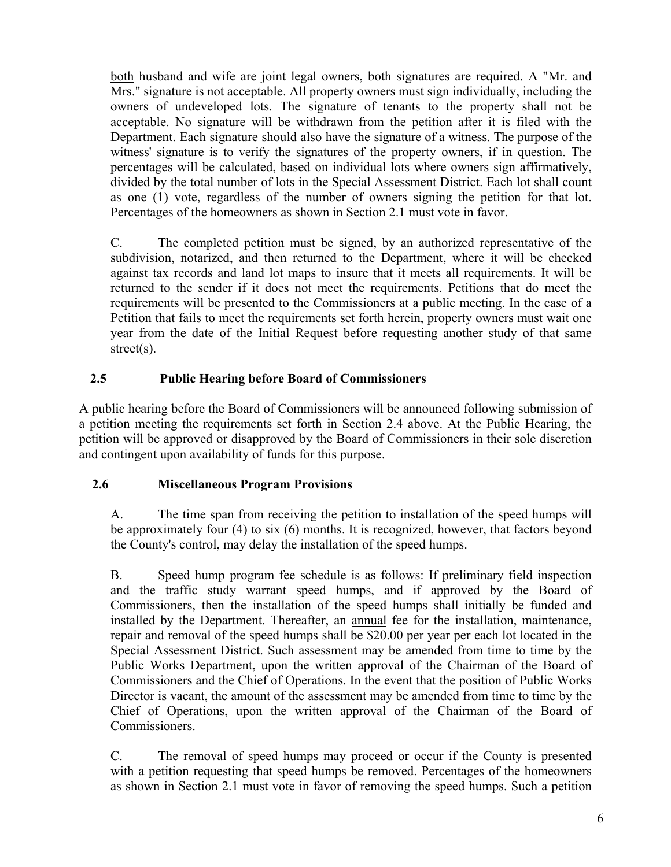both husband and wife are joint legal owners, both signatures are required. A "Mr. and Mrs." signature is not acceptable. All property owners must sign individually, including the owners of undeveloped lots. The signature of tenants to the property shall not be acceptable. No signature will be withdrawn from the petition after it is filed with the Department. Each signature should also have the signature of a witness. The purpose of the witness' signature is to verify the signatures of the property owners, if in question. The percentages will be calculated, based on individual lots where owners sign affirmatively, divided by the total number of lots in the Special Assessment District. Each lot shall count as one (1) vote, regardless of the number of owners signing the petition for that lot. Percentages of the homeowners as shown in Section 2.1 must vote in favor.

C. The completed petition must be signed, by an authorized representative of the subdivision, notarized, and then returned to the Department, where it will be checked against tax records and land lot maps to insure that it meets all requirements. It will be returned to the sender if it does not meet the requirements. Petitions that do meet the requirements will be presented to the Commissioners at a public meeting. In the case of a Petition that fails to meet the requirements set forth herein, property owners must wait one year from the date of the Initial Request before requesting another study of that same street(s).

### **2.5 Public Hearing before Board of Commissioners**

A public hearing before the Board of Commissioners will be announced following submission of a petition meeting the requirements set forth in Section 2.4 above. At the Public Hearing, the petition will be approved or disapproved by the Board of Commissioners in their sole discretion and contingent upon availability of funds for this purpose.

#### **2.6 Miscellaneous Program Provisions**

A. The time span from receiving the petition to installation of the speed humps will be approximately four (4) to six (6) months. It is recognized, however, that factors beyond the County's control, may delay the installation of the speed humps.

B. Speed hump program fee schedule is as follows: If preliminary field inspection and the traffic study warrant speed humps, and if approved by the Board of Commissioners, then the installation of the speed humps shall initially be funded and installed by the Department. Thereafter, an annual fee for the installation, maintenance, repair and removal of the speed humps shall be \$20.00 per year per each lot located in the Special Assessment District. Such assessment may be amended from time to time by the Public Works Department, upon the written approval of the Chairman of the Board of Commissioners and the Chief of Operations. In the event that the position of Public Works Director is vacant, the amount of the assessment may be amended from time to time by the Chief of Operations, upon the written approval of the Chairman of the Board of Commissioners.

C. The removal of speed humps may proceed or occur if the County is presented with a petition requesting that speed humps be removed. Percentages of the homeowners as shown in Section 2.1 must vote in favor of removing the speed humps. Such a petition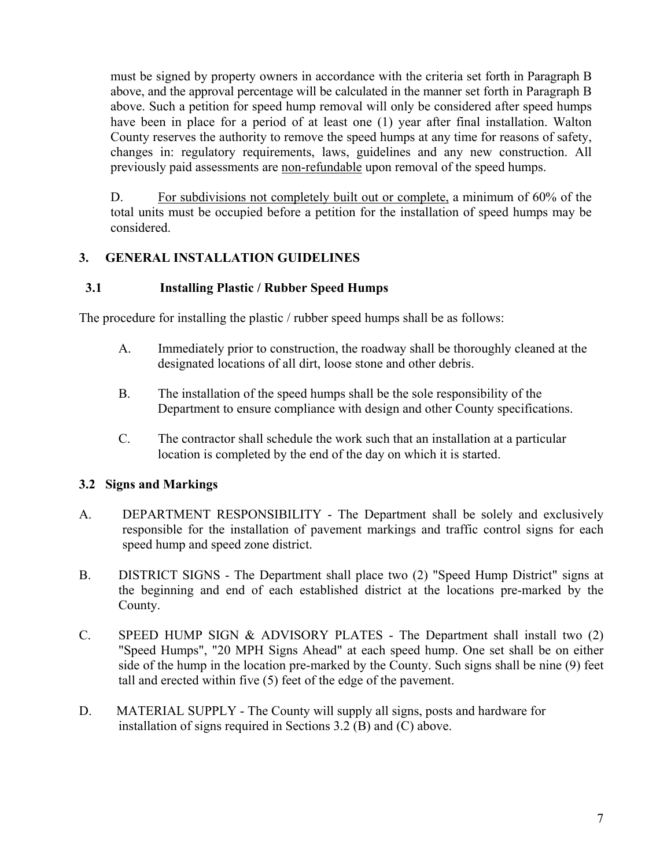must be signed by property owners in accordance with the criteria set forth in Paragraph B above, and the approval percentage will be calculated in the manner set forth in Paragraph B above. Such a petition for speed hump removal will only be considered after speed humps have been in place for a period of at least one (1) year after final installation. Walton County reserves the authority to remove the speed humps at any time for reasons of safety, changes in: regulatory requirements, laws, guidelines and any new construction. All previously paid assessments are non-refundable upon removal of the speed humps.

D. For subdivisions not completely built out or complete, a minimum of 60% of the total units must be occupied before a petition for the installation of speed humps may be considered.

#### **3. GENERAL INSTALLATION GUIDELINES**

#### **3.1 Installing Plastic / Rubber Speed Humps**

The procedure for installing the plastic / rubber speed humps shall be as follows:

- A. Immediately prior to construction, the roadway shall be thoroughly cleaned at the designated locations of all dirt, loose stone and other debris.
- B. The installation of the speed humps shall be the sole responsibility of the Department to ensure compliance with design and other County specifications.
- C. The contractor shall schedule the work such that an installation at a particular location is completed by the end of the day on which it is started.

### **3.2 Signs and Markings**

- A. DEPARTMENT RESPONSIBILITY The Department shall be solely and exclusively responsible for the installation of pavement markings and traffic control signs for each speed hump and speed zone district.
- B. DISTRICT SIGNS The Department shall place two (2) "Speed Hump District" signs at the beginning and end of each established district at the locations pre-marked by the County.
- C. SPEED HUMP SIGN  $&$  ADVISORY PLATES The Department shall install two  $(2)$ "Speed Humps", "20 MPH Signs Ahead" at each speed hump. One set shall be on either side of the hump in the location pre-marked by the County. Such signs shall be nine (9) feet tall and erected within five (5) feet of the edge of the pavement.
- D. MATERIAL SUPPLY The County will supply all signs, posts and hardware for installation of signs required in Sections 3.2 (B) and (C) above.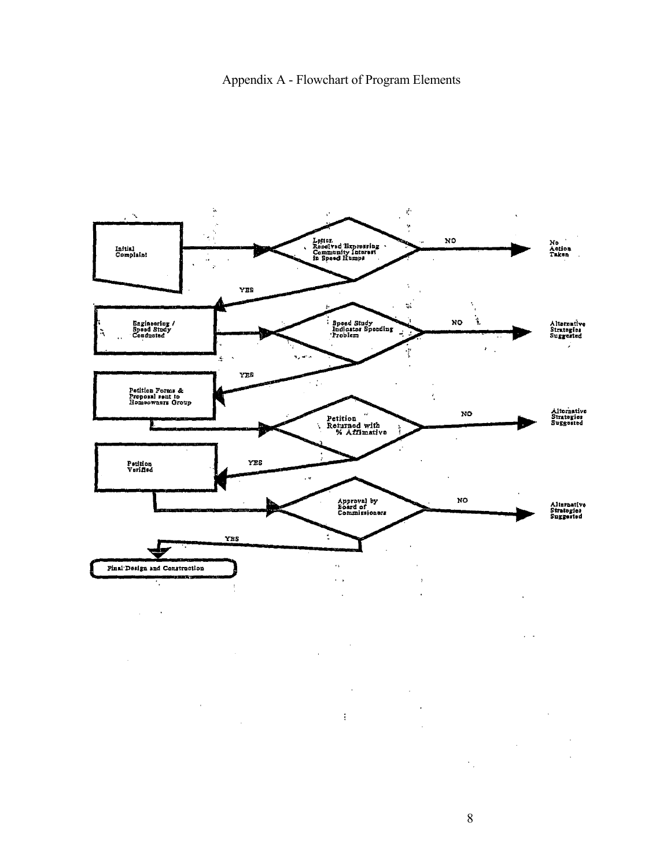#### Appendix A - Flowchart of Program Elements



 $\bar{z}$  $\bar{a}$  $\hat{\mathcal{A}}$  $\ddot{\phantom{a}}$  $\mathfrak{f}$  $\bar{1}$  $\hat{\mathcal{A}}$ l,  $\mathcal{L}^{\text{max}}$ 

 $\ddot{\phantom{0}}$  $\mathcal{C}_{\mathcal{A}}$ 

 $\ddot{\phantom{a}}$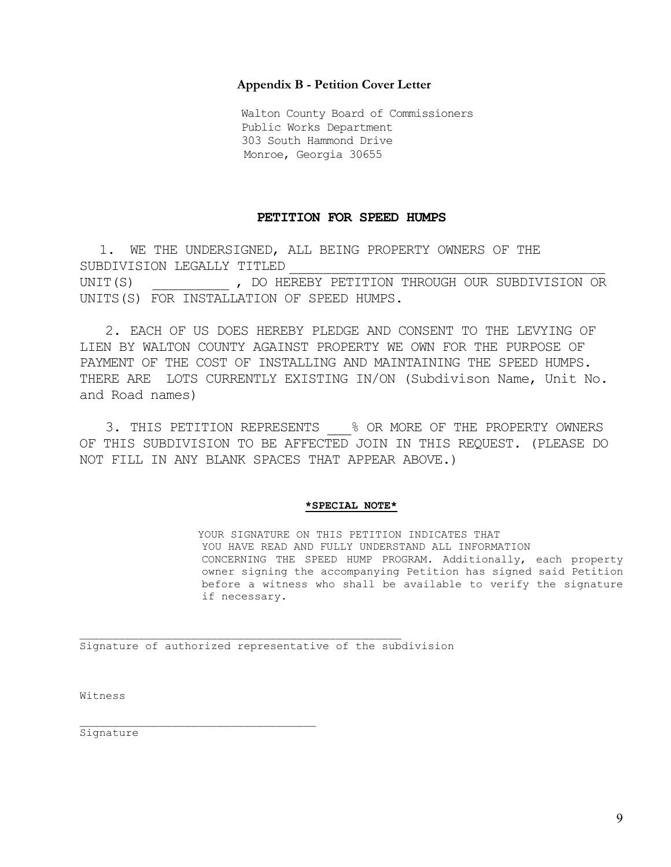#### **Appendix B - Petition Cover Letter**

Walton County Board of Commissioners Public Works Department 303 South Hammond Drive Monroe, Georgia 30655

#### **PETITION FOR SPEED HUMPS**

1. WE THE UNDERSIGNED, ALL BEING PROPERTY OWNERS OF THE SUBDIVISION LEGALLY TITLED UNIT(S)  $\qquad \qquad$ , DO HEREBY PETITION THROUGH OUR SUBDIVISION OR UNITS(S) FOR INSTALLATION OF SPEED HUMPS.

2. EACH OF US DOES HEREBY PLEDGE AND CONSENT TO THE LEVYING OF LIEN BY WALTON COUNTY AGAINST PROPERTY WE OWN FOR THE PURPOSE OF PAYMENT OF THE COST OF INSTALLING AND MAINTAINING THE SPEED HUMPS. THERE ARE LOTS CURRENTLY EXISTING IN/ON (Subdivison Name, Unit No. and Road names)

3. THIS PETITION REPRESENTS \_\_\_% OR MORE OF THE PROPERTY OWNERS OF THIS SUBDIVISION TO BE AFFECTED JOIN IN THIS REQUEST. (PLEASE DO NOT FILL IN ANY BLANK SPACES THAT APPEAR ABOVE.)

#### **\*SPECIAL NOTE\***

YOUR SIGNATURE ON THIS PETITION INDICATES THAT YOU HAVE READ AND FULLY UNDERSTAND ALL INFORMATION CONCERNING THE SPEED HUMP PROGRAM. Additionally, each property owner signing the accompanying Petition has signed said Petition before a witness who shall be available to verify the signature if necessary.

Signature of authorized representative of the subdivision

 $\mathcal{L}_\text{max}$ 

Witness

Signature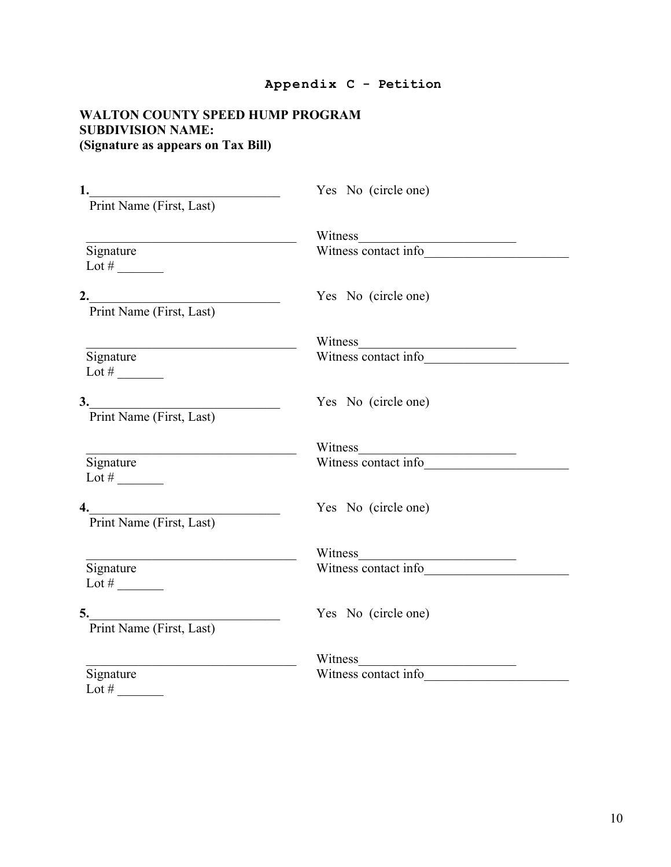#### **Appendix C - Petition**

#### **WALTON COUNTY SPEED HUMP PROGRAM SUBDIVISION NAME: (Signature as appears on Tax Bill)**

| 1.<br><u> 1980 - Andrea Andrew Maria (h. 1980).</u><br>Print Name (First, Last) | Yes No (circle one)             |
|---------------------------------------------------------------------------------|---------------------------------|
|                                                                                 |                                 |
| Signature<br>Lot # $\_\_$                                                       | Witness<br>Witness contact info |
| Print Name (First, Last)                                                        | Yes No (circle one)             |
|                                                                                 |                                 |
| Signature<br>Lot # $\_\_$                                                       | Witness<br>Witness contact info |
| 3.<br>Print Name (First, Last)                                                  | Yes No (circle one)             |
|                                                                                 | Witness                         |
| Signature<br>Lot # $\_\_$                                                       | Witness contact info            |
| Print Name (First, Last)                                                        | Yes No (circle one)             |
|                                                                                 |                                 |
| Signature<br>Lot # $\_\_$                                                       | Witness<br>Witness contact info |
| 5.<br>Print Name (First, Last)                                                  | Yes No (circle one)             |
|                                                                                 | Witness                         |
| Signature<br>Lot $#$                                                            | Witness contact info            |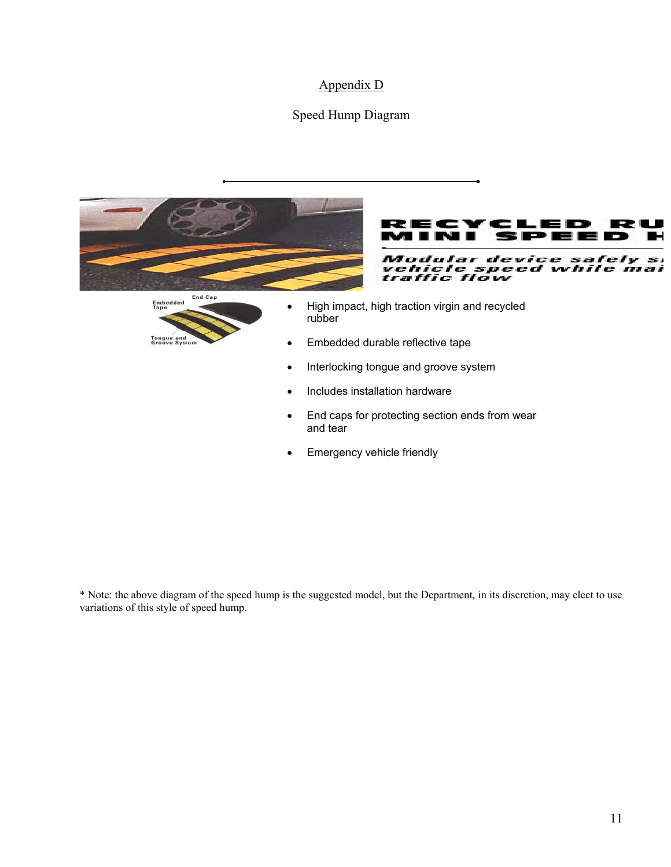#### Appendix D

#### Speed Hump Diagram



\* Note: the above diagram of the speed hump is the suggested model, but the Department, in its discretion, may elect to use variations of this style of speed hump.